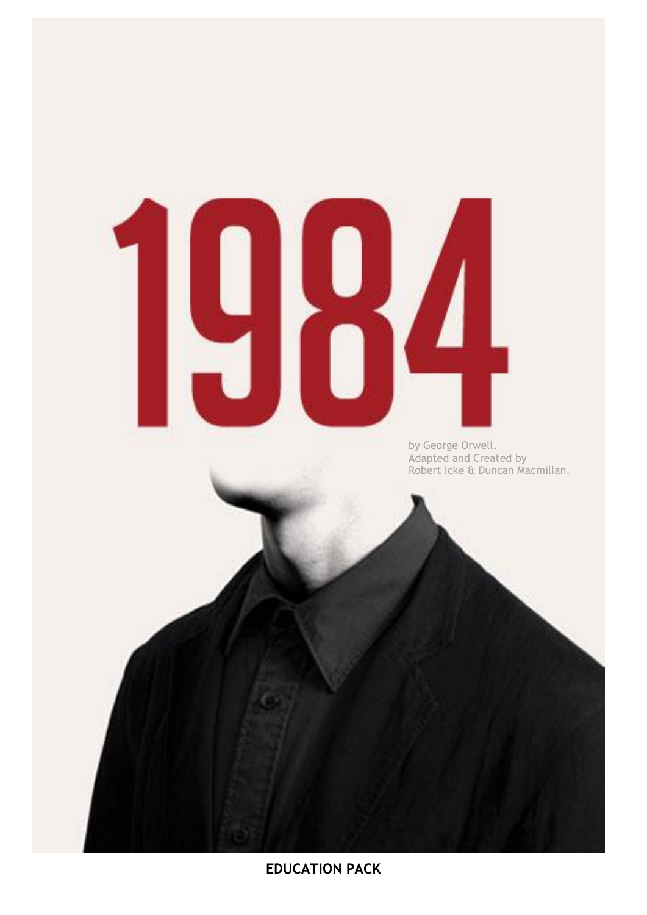# 

by George Orwell. Adapted and Created by Robert Icke & Duncan Macmillan.

**EDUCATION PACK**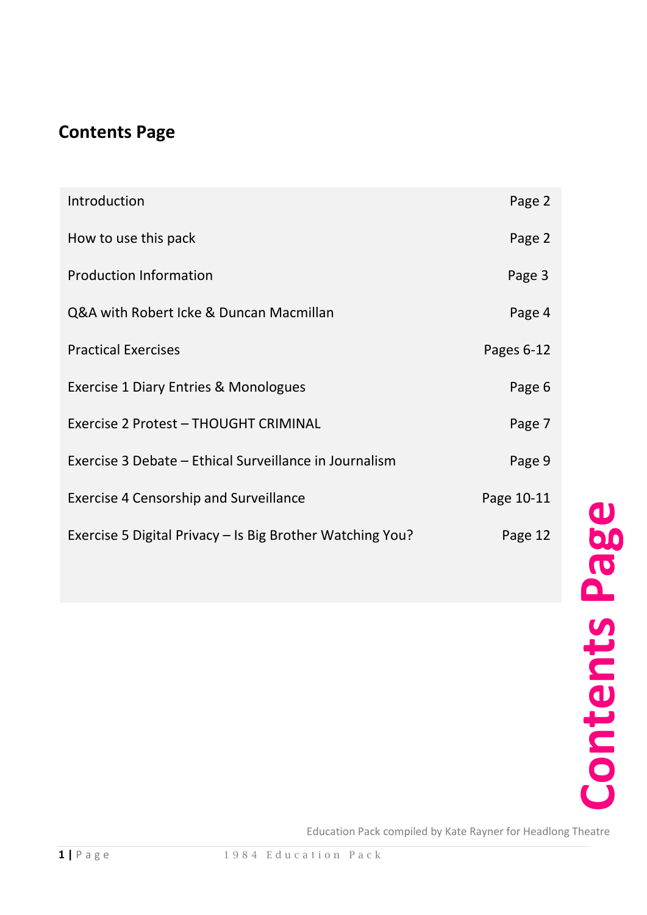# **Contents Page**

| Introduction                                              | Page 2     |
|-----------------------------------------------------------|------------|
| How to use this pack                                      | Page 2     |
| <b>Production Information</b>                             | Page 3     |
| Q&A with Robert Icke & Duncan Macmillan                   | Page 4     |
| <b>Practical Exercises</b>                                | Pages 6-12 |
| <b>Exercise 1 Diary Entries &amp; Monologues</b>          | Page 6     |
| Exercise 2 Protest - THOUGHT CRIMINAL                     | Page 7     |
| Exercise 3 Debate – Ethical Surveillance in Journalism    | Page 9     |
| <b>Exercise 4 Censorship and Surveillance</b>             | Page 10-11 |
| Exercise 5 Digital Privacy - Is Big Brother Watching You? | Page 12    |

Education Pack compiled by Kate Rayner for Headlong Theatre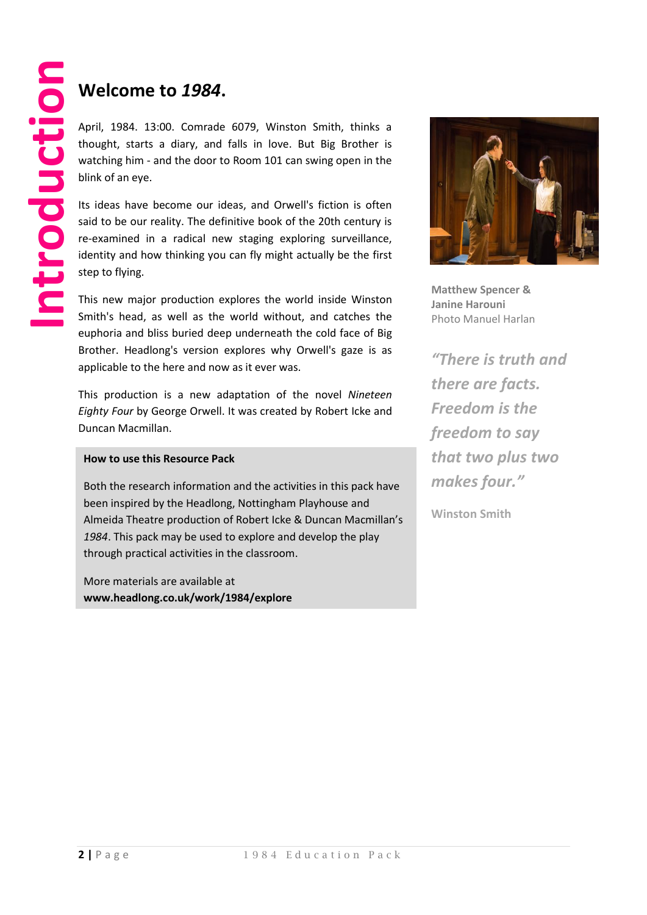## **Welcome to** *1984***.**

April, 1984. 13:00. Comrade 6079, Winston Smith, thinks a thought, starts a diary, and falls in love. But Big Brother is watching him - and the door to Room 101 can swing open in the blink of an eye.

Its ideas have become our ideas, and Orwell's fiction is often said to be our reality. The definitive book of the 20th century is re-examined in a radical new staging exploring surveillance, identity and how thinking you can fly might actually be the first step to flying.

This new major production explores the world inside Winston Smith's head, as well as the world without, and catches the euphoria and bliss buried deep underneath the cold face of Big Brother. Headlong's version explores why Orwell's gaze is as applicable to the here and now as it ever was.

This production is a new adaptation of the novel *Nineteen Eighty Four* by George Orwell. It was created by Robert Icke and Duncan Macmillan.

#### **How to use this Resource Pack**

Both the research information and the activities in this pack have been inspired by the Headlong, Nottingham Playhouse and Almeida Theatre production of Robert Icke & Duncan Macmillan's *1984*. This pack may be used to explore and develop the play through practical activities in the classroom.

. **www.headlong.co.uk/work/1984/explore** More materials are available at



**Matthew Spencer & Janine Harouni** Photo Manuel Harlan

*"There is truth and there are facts. Freedom is the freedom to say that two plus two makes four."*

**Winston Smith**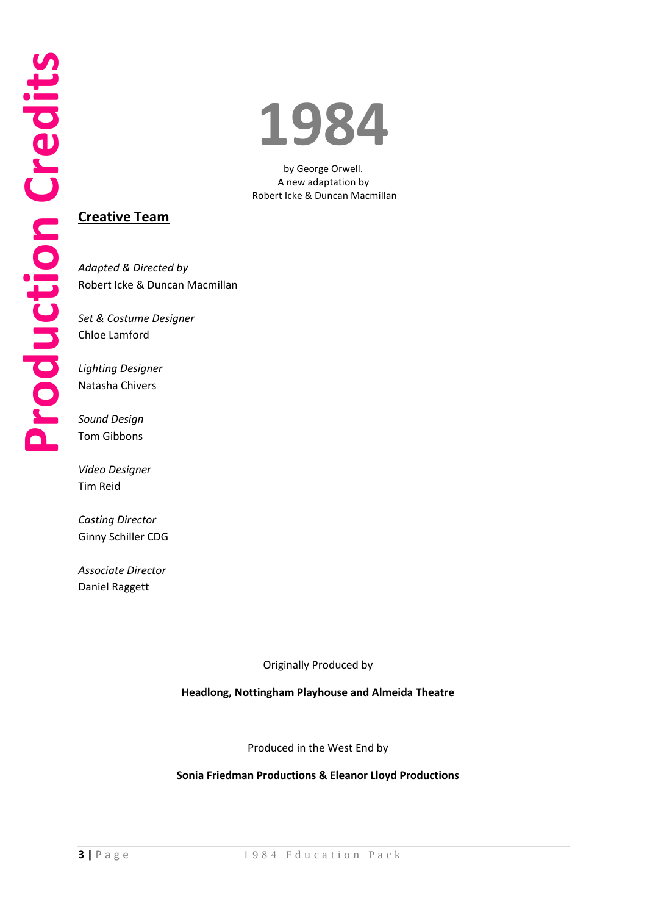# **1984**

by George Orwell. A new adaptation by Robert Icke & Duncan Macmillan

#### **Creative Team**

*Adapted & Directed by*  Robert Icke & Duncan Macmillan

*Set & Costume Designer*  Chloe Lamford

*Lighting Designer* Natasha Chivers

*Sound Design* Tom Gibbons

*Video Designer* Tim Reid

*Casting Director* Ginny Schiller CDG

*Associate Director* Daniel Raggett

Originally Produced by

**Headlong, Nottingham Playhouse and Almeida Theatre**

Produced in the West End by

**Sonia Friedman Productions & Eleanor Lloyd Productions**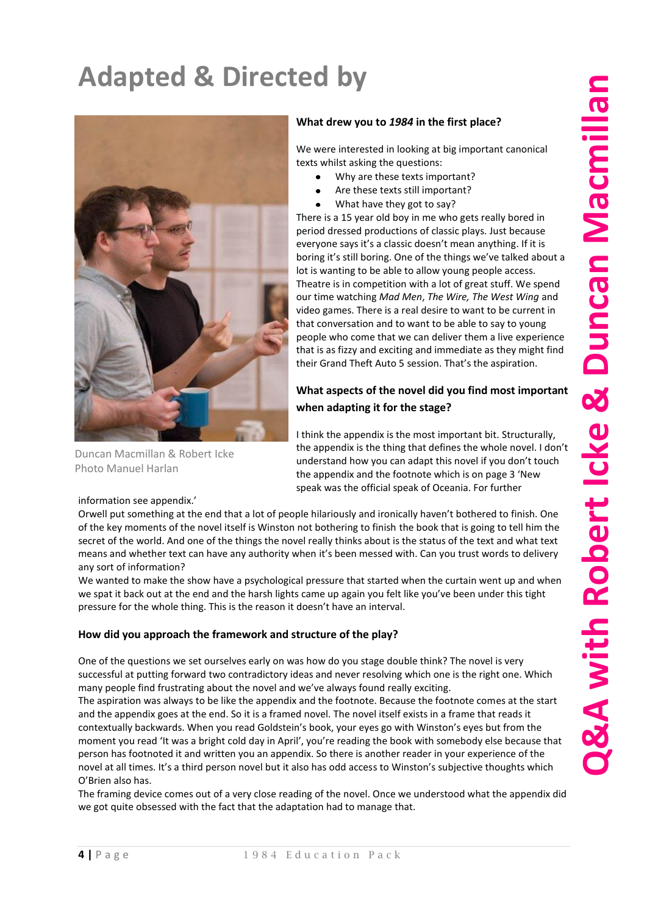# **Adapted & Directed by**



Duncan Macmillan & Robert Icke Photo Manuel Harlan

information see appendix.'

#### **What drew you to** *1984* **in the first place?**

We were interested in looking at big important canonical texts whilst asking the questions:

- Why are these texts important?
- Are these texts still important?
- What have they got to say?

There is a 15 year old boy in me who gets really bored in period dressed productions of classic plays. Just because everyone says it's a classic doesn't mean anything. If it is boring it's still boring. One of the things we've talked about a lot is wanting to be able to allow young people access. Theatre is in competition with a lot of great stuff. We spend our time watching *Mad Men*, *The Wire, The West Wing* and video games. There is a real desire to want to be current in that conversation and to want to be able to say to young people who come that we can deliver them a live experience that is as fizzy and exciting and immediate as they might find their Grand Theft Auto 5 session. That's the aspiration.

#### **What aspects of the novel did you find most important when adapting it for the stage?**

I think the appendix is the most important bit. Structurally, the appendix is the thing that defines the whole novel. I don't understand how you can adapt this novel if you don't touch the appendix and the footnote which is on page 3 'New speak was the official speak of Oceania. For further

Orwell put something at the end that a lot of people hilariously and ironically haven't bothered to finish. One of the key moments of the novel itself is Winston not bothering to finish the book that is going to tell him the secret of the world. And one of the things the novel really thinks about is the status of the text and what text means and whether text can have any authority when it's been messed with. Can you trust words to delivery any sort of information?

We wanted to make the show have a psychological pressure that started when the curtain went up and when we spat it back out at the end and the harsh lights came up again you felt like you've been under this tight pressure for the whole thing. This is the reason it doesn't have an interval.

#### **How did you approach the framework and structure of the play?**

One of the questions we set ourselves early on was how do you stage double think? The novel is very successful at putting forward two contradictory ideas and never resolving which one is the right one. Which many people find frustrating about the novel and we've always found really exciting.

The aspiration was always to be like the appendix and the footnote. Because the footnote comes at the start and the appendix goes at the end. So it is a framed novel. The novel itself exists in a frame that reads it contextually backwards. When you read Goldstein's book, your eyes go with Winston's eyes but from the moment you read 'It was a bright cold day in April', you're reading the book with somebody else because that person has footnoted it and written you an appendix. So there is another reader in your experience of the novel at all times. It's a third person novel but it also has odd access to Winston's subjective thoughts which O'Brien also has.

The framing device comes out of a very close reading of the novel. Once we understood what the appendix did we got quite obsessed with the fact that the adaptation had to manage that.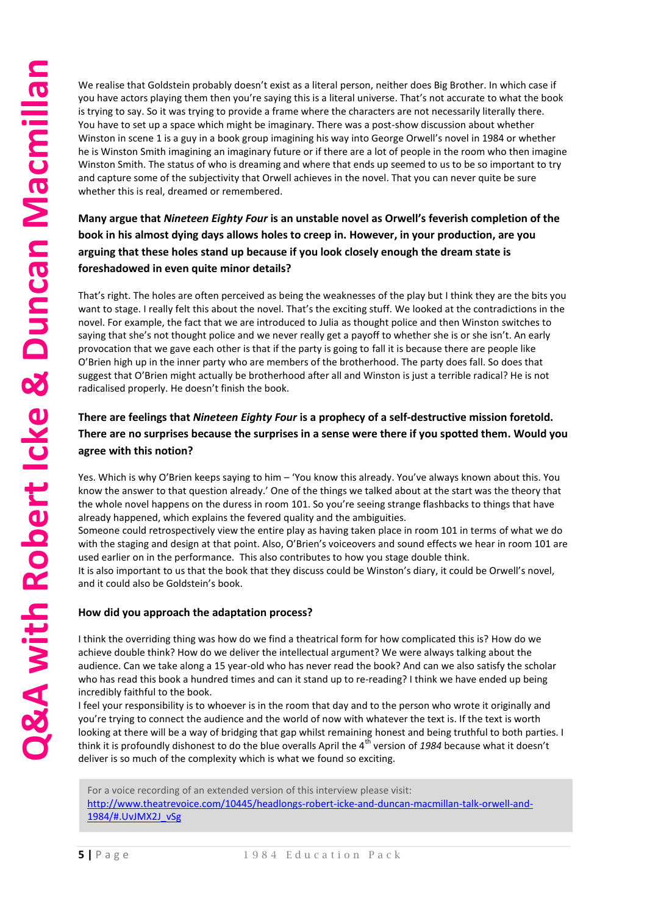We realise that Goldstein probably doesn't exist as a literal person, neither does Big Brother. In which case if you have actors playing them then you're saying this is a literal universe. That's not accurate to what the book is trying to say. So it was trying to provide a frame where the characters are not necessarily literally there. You have to set up a space which might be imaginary. There was a post-show discussion about whether Winston in scene 1 is a guy in a book group imagining his way into George Orwell's novel in 1984 or whether he is Winston Smith imagining an imaginary future or if there are a lot of people in the room who then imagine Winston Smith. The status of who is dreaming and where that ends up seemed to us to be so important to try and capture some of the subjectivity that Orwell achieves in the novel. That you can never quite be sure whether this is real, dreamed or remembered.

#### **Many argue that** *Nineteen Eighty Four* **is an unstable novel as Orwell's feverish completion of the book in his almost dying days allows holes to creep in. However, in your production, are you arguing that these holes stand up because if you look closely enough the dream state is foreshadowed in even quite minor details?**

That's right. The holes are often perceived as being the weaknesses of the play but I think they are the bits you want to stage. I really felt this about the novel. That's the exciting stuff. We looked at the contradictions in the novel. For example, the fact that we are introduced to Julia as thought police and then Winston switches to saying that she's not thought police and we never really get a payoff to whether she is or she isn't. An early provocation that we gave each other is that if the party is going to fall it is because there are people like O'Brien high up in the inner party who are members of the brotherhood. The party does fall. So does that suggest that O'Brien might actually be brotherhood after all and Winston is just a terrible radical? He is not radicalised properly. He doesn't finish the book.

#### **There are feelings that** *Nineteen Eighty Four* **is a prophecy of a self-destructive mission foretold. There are no surprises because the surprises in a sense were there if you spotted them. Would you agree with this notion?**

Yes. Which is why O'Brien keeps saying to him – 'You know this already. You've always known about this. You know the answer to that question already.' One of the things we talked about at the start was the theory that the whole novel happens on the duress in room 101. So you're seeing strange flashbacks to things that have already happened, which explains the fevered quality and the ambiguities.

Someone could retrospectively view the entire play as having taken place in room 101 in terms of what we do with the staging and design at that point. Also, O'Brien's voiceovers and sound effects we hear in room 101 are used earlier on in the performance. This also contributes to how you stage double think.

It is also important to us that the book that they discuss could be Winston's diary, it could be Orwell's novel, and it could also be Goldstein's book.

#### **How did you approach the adaptation process?**

I think the overriding thing was how do we find a theatrical form for how complicated this is? How do we achieve double think? How do we deliver the intellectual argument? We were always talking about the audience. Can we take along a 15 year-old who has never read the book? And can we also satisfy the scholar who has read this book a hundred times and can it stand up to re-reading? I think we have ended up being incredibly faithful to the book.

I feel your responsibility is to whoever is in the room that day and to the person who wrote it originally and you're trying to connect the audience and the world of now with whatever the text is. If the text is worth looking at there will be a way of bridging that gap whilst remaining honest and being truthful to both parties. I think it is profoundly dishonest to do the blue overalls April the 4<sup>th</sup> version of 1984 because what it doesn't deliver is so much of the complexity which is what we found so exciting.

For a voice recording of an extended version of this interview please visit:

http://www.theatrevoice.com/10445/headlongs-robert-icke-and-duncan-macmillan-talk-orwell-and-<br>4884/WWW.theatrevoice.com/10445/headlongs-robert-icke-and-duncan-macmillan-talk-orwell-and-[1984/#.UvJMX2J\\_vSg](http://www.theatrevoice.com/10445/headlongs-robert-icke-and-duncan-macmillan-talk-orwell-and-1984/#.UvJMX2J_vSg)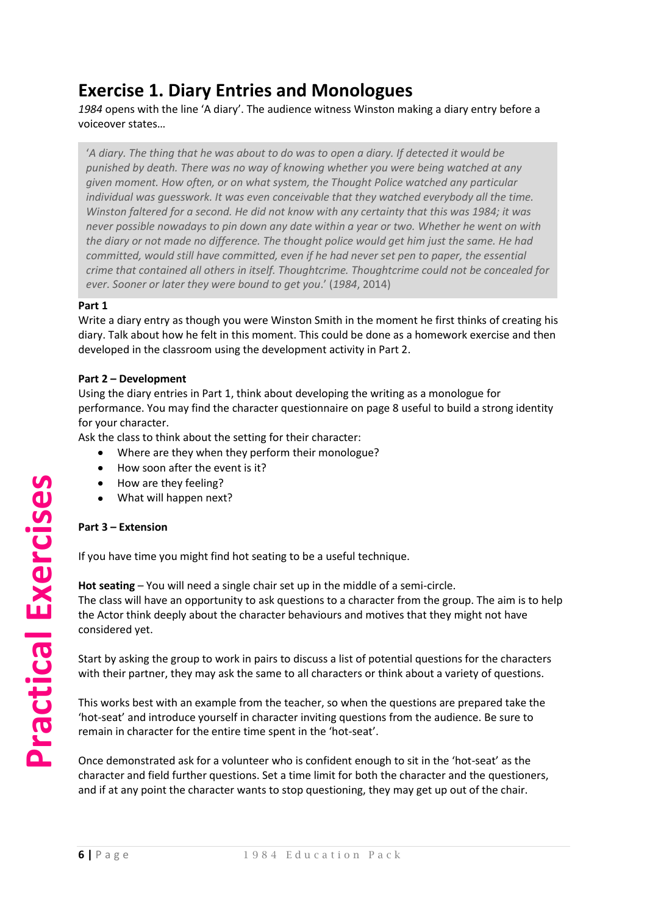## **Exercise 1. Diary Entries and Monologues**

*1984* opens with the line 'A diary'. The audience witness Winston making a diary entry before a voiceover states…

'*A diary. The thing that he was about to do was to open a diary. If detected it would be punished by death. There was no way of knowing whether you were being watched at any given moment. How often, or on what system, the Thought Police watched any particular individual was guesswork. It was even conceivable that they watched everybody all the time. Winston faltered for a second. He did not know with any certainty that this was 1984; it was never possible nowadays to pin down any date within a year or two. Whether he went on with the diary or not made no difference. The thought police would get him just the same. He had committed, would still have committed, even if he had never set pen to paper, the essential crime that contained all others in itself. Thoughtcrime. Thoughtcrime could not be concealed for ever. Sooner or later they were bound to get you*.' (*1984*, 2014)

#### **Part 1**

Write a diary entry as though you were Winston Smith in the moment he first thinks of creating his diary. Talk about how he felt in this moment. This could be done as a homework exercise and then developed in the classroom using the development activity in Part 2.

#### **Part 2 – Development**

Using the diary entries in Part 1, think about developing the writing as a monologue for performance. You may find the character questionnaire on page 8 useful to build a strong identity for your character.

Ask the class to think about the setting for their character:

- Where are they when they perform their monologue?
- How soon after the event is it?
- $\bullet$ How are they feeling?
- What will happen next?

#### **Part 3 – Extension**

If you have time you might find hot seating to be a useful technique.

**Hot seating** – You will need a single chair set up in the middle of a semi-circle. The class will have an opportunity to ask questions to a character from the group. The aim is to help the Actor think deeply about the character behaviours and motives that they might not have considered yet.

Start by asking the group to work in pairs to discuss a list of potential questions for the characters with their partner, they may ask the same to all characters or think about a variety of questions.

This works best with an example from the teacher, so when the questions are prepared take the 'hot-seat' and introduce yourself in character inviting questions from the audience. Be sure to remain in character for the entire time spent in the 'hot-seat'.

Once demonstrated ask for a volunteer who is confident enough to sit in the 'hot-seat' as the character and field further questions. Set a time limit for both the character and the questioners, and if at any point the character wants to stop questioning, they may get up out of the chair.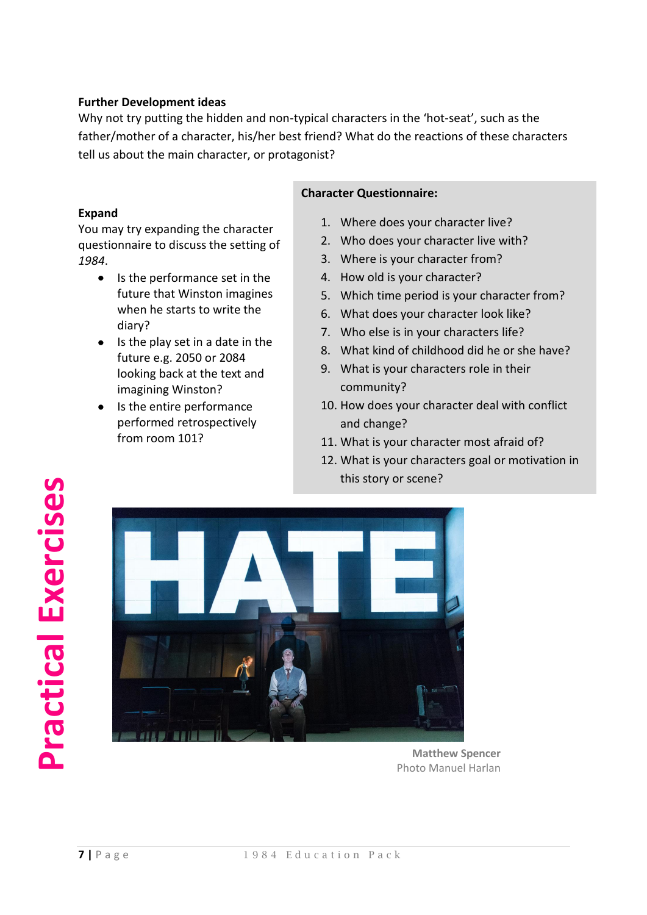#### **Further Development ideas**

Why not try putting the hidden and non-typical characters in the 'hot-seat', such as the father/mother of a character, his/her best friend? What do the reactions of these characters tell us about the main character, or protagonist?

#### **Expand**

You may try expanding the character questionnaire to discuss the setting of *1984*.

- $\bullet$  Is the performance set in the future that Winston imagines when he starts to write the diary?
- $\bullet$  Is the play set in a date in the future e.g. 2050 or 2084 looking back at the text and imagining Winston?
- Is the entire performance performed retrospectively from room 101?

#### **Character Questionnaire:**

- 1. Where does your character live?
- 2. Who does your character live with?
- 3. Where is your character from?
- 4. How old is your character?
- 5. Which time period is your character from?
- 6. What does your character look like?
- 7. Who else is in your characters life?
- 8. What kind of childhood did he or she have?
- 9. What is your characters role in their community?
- 10. How does your character deal with conflict and change?
- 11. What is your character most afraid of?
- 12. What is your characters goal or motivation in this story or scene?



**Matthew Spencer** Photo Manuel Harlan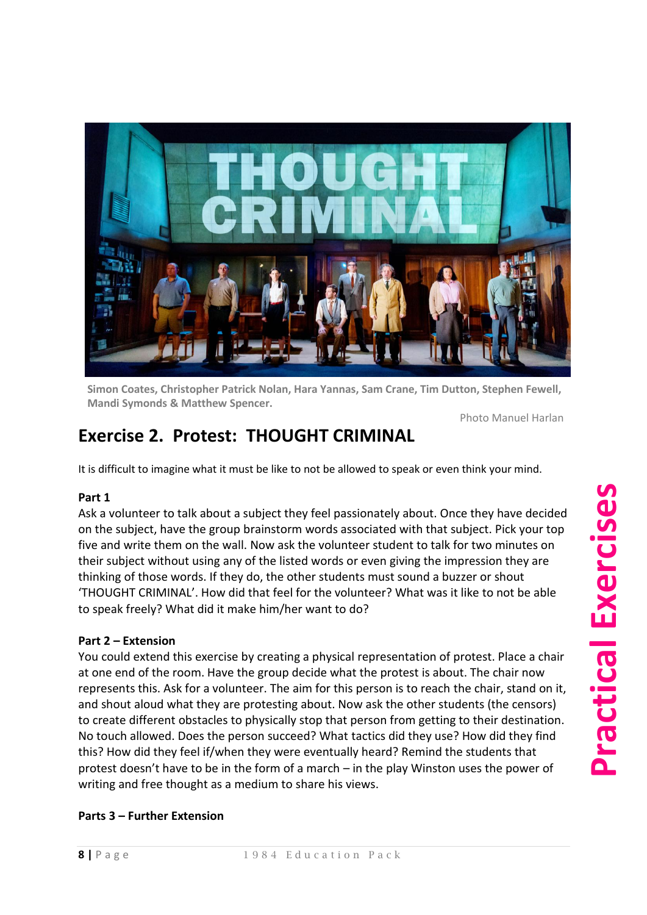

**Simon Coates, Christopher Patrick Nolan, Hara Yannas, Sam Crane, Tim Dutton, Stephen Fewell, Mandi Symonds & Matthew Spencer.**

Photo Manuel Harlan

# **Exercise 2. Protest: THOUGHT CRIMINAL**

It is difficult to imagine what it must be like to not be allowed to speak or even think your mind.

#### **Part 1**

Ask a volunteer to talk about a subject they feel passionately about. Once they have decided on the subject, have the group brainstorm words associated with that subject. Pick your top five and write them on the wall. Now ask the volunteer student to talk for two minutes on their subject without using any of the listed words or even giving the impression they are thinking of those words. If they do, the other students must sound a buzzer or shout 'THOUGHT CRIMINAL'. How did that feel for the volunteer? What was it like to not be able to speak freely? What did it make him/her want to do?

#### **Part 2 – Extension**

You could extend this exercise by creating a physical representation of protest. Place a chair at one end of the room. Have the group decide what the protest is about. The chair now represents this. Ask for a volunteer. The aim for this person is to reach the chair, stand on it, and shout aloud what they are protesting about. Now ask the other students (the censors) to create different obstacles to physically stop that person from getting to their destination. No touch allowed. Does the person succeed? What tactics did they use? How did they find this? How did they feel if/when they were eventually heard? Remind the students that protest doesn't have to be in the form of a march – in the play Winston uses the power of writing and free thought as a medium to share his views.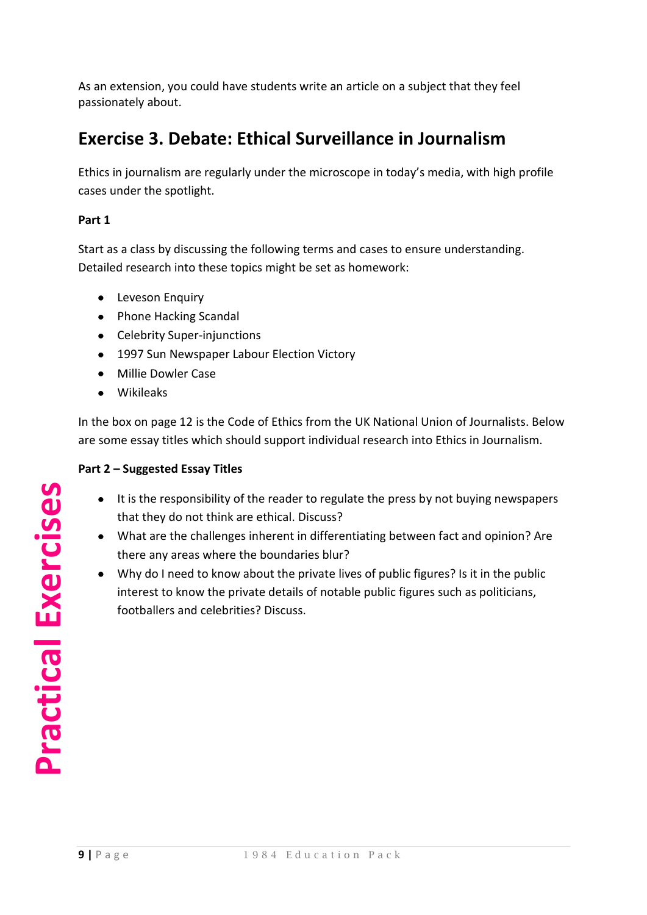As an extension, you could have students write an article on a subject that they feel passionately about.

# **Exercise 3. Debate: Ethical Surveillance in Journalism**

Ethics in journalism are regularly under the microscope in today's media, with high profile cases under the spotlight.

#### **Part 1**

Start as a class by discussing the following terms and cases to ensure understanding. Detailed research into these topics might be set as homework:

- **•** Leveson Enquiry
- Phone Hacking Scandal
- Celebrity Super-injunctions
- 1997 Sun Newspaper Labour Election Victory
- Millie Dowler Case
- Wikileaks

In the box on page 12 is the Code of Ethics from the UK National Union of Journalists. Below are some essay titles which should support individual research into Ethics in Journalism.

#### **Part 2 – Suggested Essay Titles**

- It is the responsibility of the reader to regulate the press by not buying newspapers  $\bullet$ that they do not think are ethical. Discuss?
- What are the challenges inherent in differentiating between fact and opinion? Are there any areas where the boundaries blur?
- Why do I need to know about the private lives of public figures? Is it in the public interest to know the private details of notable public figures such as politicians, footballers and celebrities? Discuss.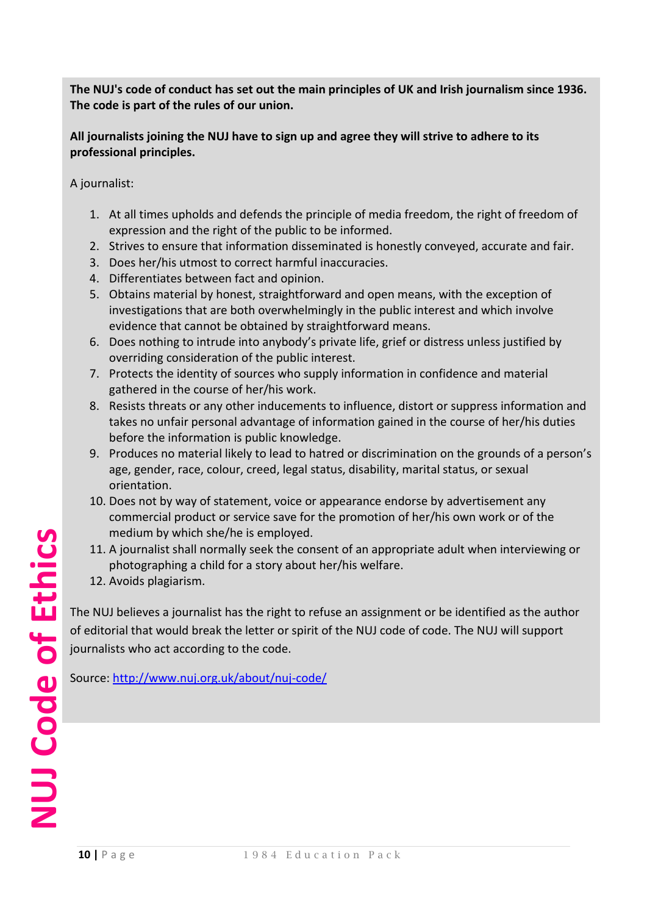**The NUJ's code of conduct has set out the main principles of UK and Irish journalism since 1936. The code is part of the rules of our union.**

**All journalists joining the NUJ have to sign up and agree they will strive to adhere to its professional principles.**

A journalist:

- 1. At all times upholds and defends the principle of media freedom, the right of freedom of expression and the right of the public to be informed.
- 2. Strives to ensure that information disseminated is honestly conveyed, accurate and fair.
- 3. Does her/his utmost to correct harmful inaccuracies.
- 4. Differentiates between fact and opinion.
- 5. Obtains material by honest, straightforward and open means, with the exception of investigations that are both overwhelmingly in the public interest and which involve evidence that cannot be obtained by straightforward means.
- 6. Does nothing to intrude into anybody's private life, grief or distress unless justified by overriding consideration of the public interest.
- 7. Protects the identity of sources who supply information in confidence and material gathered in the course of her/his work.
- 8. Resists threats or any other inducements to influence, distort or suppress information and takes no unfair personal advantage of information gained in the course of her/his duties before the information is public knowledge.
- 9. Produces no material likely to lead to hatred or discrimination on the grounds of a person's age, gender, race, colour, creed, legal status, disability, marital status, or sexual orientation.
- 10. Does not by way of statement, voice or appearance endorse by advertisement any commercial product or service save for the promotion of her/his own work or of the medium by which she/he is employed.
- 11. A journalist shall normally seek the consent of an appropriate adult when interviewing or photographing a child for a story about her/his welfare.
- 12. Avoids plagiarism.

The NUJ believes a journalist has the right to refuse an assignment or be identified as the author of editorial that would break the letter or spirit of the NUJ code of code. The NUJ will support journalists who act according to the code.

Source[: http://www.nuj.org.uk/about/nuj-code/](http://www.nuj.org.uk/about/nuj-code/)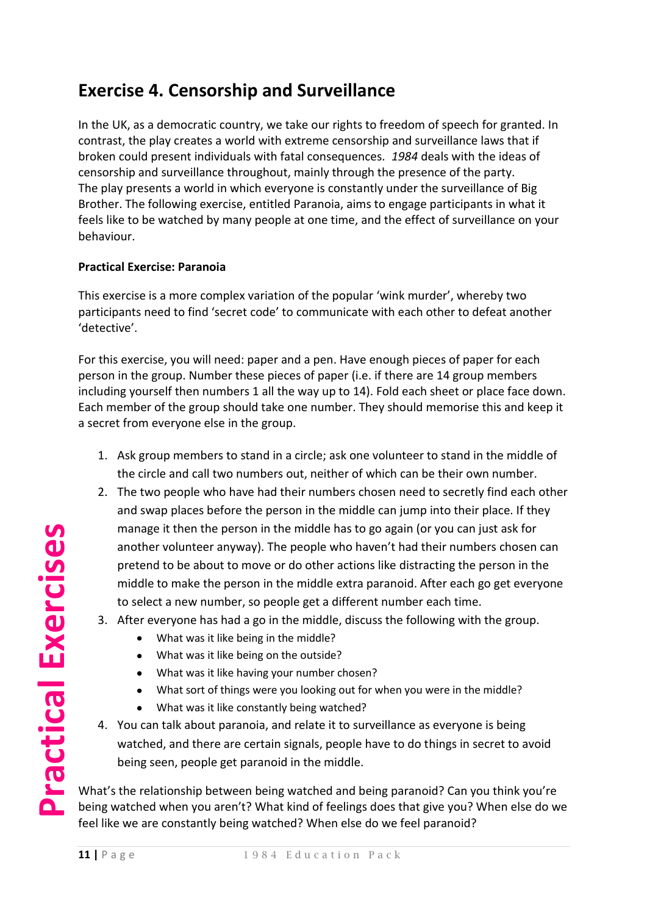# **Exercise 4. Censorship and Surveillance**

In the UK, as a democratic country, we take our rights to freedom of speech for granted. In contrast, the play creates a world with extreme censorship and surveillance laws that if broken could present individuals with fatal consequences. *1984* deals with the ideas of censorship and surveillance throughout, mainly through the presence of the party. The play presents a world in which everyone is constantly under the surveillance of Big Brother. The following exercise, entitled Paranoia, aims to engage participants in what it feels like to be watched by many people at one time, and the effect of surveillance on your behaviour.

#### **Practical Exercise: Paranoia**

This exercise is a more complex variation of the popular 'wink murder', whereby two participants need to find 'secret code' to communicate with each other to defeat another 'detective'.

For this exercise, you will need: paper and a pen. Have enough pieces of paper for each person in the group. Number these pieces of paper (i.e. if there are 14 group members including yourself then numbers 1 all the way up to 14). Fold each sheet or place face down. Each member of the group should take one number. They should memorise this and keep it a secret from everyone else in the group.

- 1. Ask group members to stand in a circle; ask one volunteer to stand in the middle of the circle and call two numbers out, neither of which can be their own number.
- 2. The two people who have had their numbers chosen need to secretly find each other and swap places before the person in the middle can jump into their place. If they manage it then the person in the middle has to go again (or you can just ask for another volunteer anyway). The people who haven't had their numbers chosen can pretend to be about to move or do other actions like distracting the person in the middle to make the person in the middle extra paranoid. After each go get everyone to select a new number, so people get a different number each time.
- 3. After everyone has had a go in the middle, discuss the following with the group.
	- What was it like being in the middle?  $\bullet$
	- What was it like being on the outside?
	- What was it like having your number chosen?
	- What sort of things were you looking out for when you were in the middle?
	- What was it like constantly being watched?
- 4. You can talk about paranoia, and relate it to surveillance as everyone is being watched, and there are certain signals, people have to do things in secret to avoid being seen, people get paranoid in the middle.

What's the relationship between being watched and being paranoid? Can you think you're being watched when you aren't? What kind of feelings does that give you? When else do we feel like we are constantly being watched? When else do we feel paranoid?